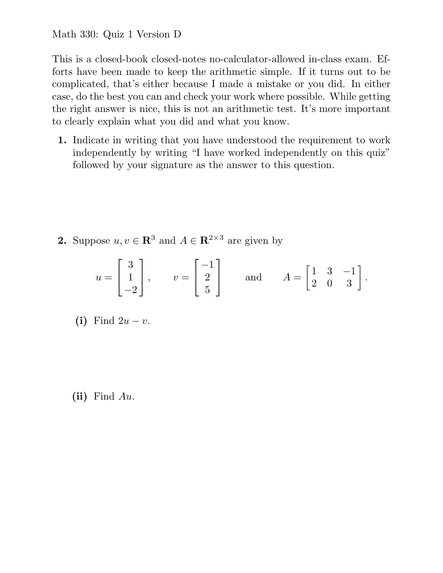This is a closed-book closed-notes no-calculator-allowed in-class exam. Efforts have been made to keep the arithmetic simple. If it turns out to be complicated, that's either because I made a mistake or you did. In either case, do the best you can and check your work where possible. While getting the right answer is nice, this is not an arithmetic test. It's more important to clearly explain what you did and what you know.

**1.** Indicate in writing that you have understood the requirement to work independently by writing "I have worked independently on this quiz" followed by your signature as the answer to this question.

**2.** Suppose  $u, v \in \mathbb{R}^3$  and  $A \in \mathbb{R}^{2 \times 3}$  are given by

$$
u = \begin{bmatrix} 3 \\ 1 \\ -2 \end{bmatrix}
$$
,  $v = \begin{bmatrix} -1 \\ 2 \\ 5 \end{bmatrix}$  and  $A = \begin{bmatrix} 1 & 3 & -1 \\ 2 & 0 & 3 \end{bmatrix}$ .

(i) Find  $2u - v$ .

**(ii)** Find *Au*.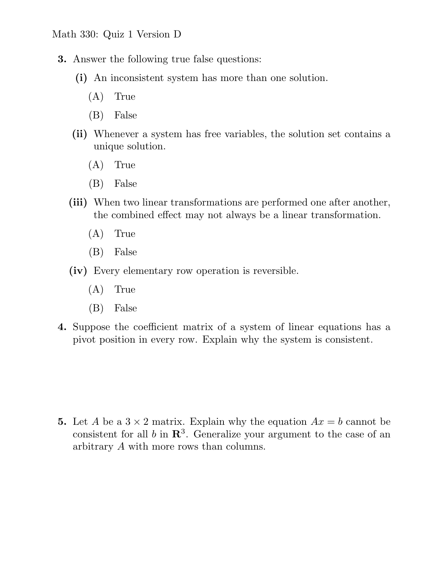- **3.** Answer the following true false questions:
	- **(i)** An inconsistent system has more than one solution.
		- (A) True
		- (B) False
	- **(ii)** Whenever a system has free variables, the solution set contains a unique solution.
		- (A) True
		- (B) False
	- **(iii)** When two linear transformations are performed one after another, the combined effect may not always be a linear transformation.
		- (A) True
		- (B) False
	- **(iv)** Every elementary row operation is reversible.
		- (A) True
		- (B) False
- **4.** Suppose the coefficient matrix of a system of linear equations has a pivot position in every row. Explain why the system is consistent.

**5.** Let *A* be a  $3 \times 2$  matrix. Explain why the equation  $Ax = b$  cannot be consistent for all  $b$  in  $\mathbb{R}^3$ . Generalize your argument to the case of an arbitrary *A* with more rows than columns.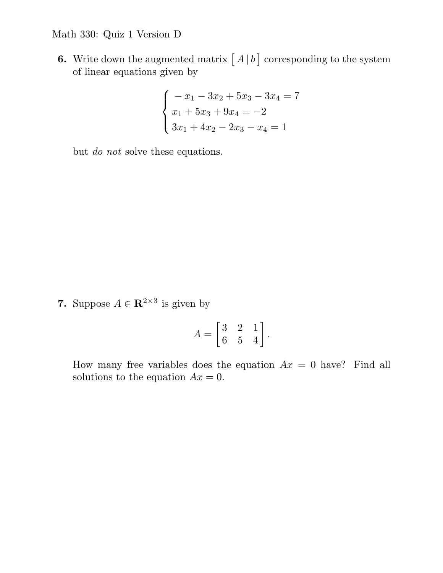**6.** Write down the augmented matrix  $\begin{bmatrix} A \mid b \end{bmatrix}$  corresponding to the system of linear equations given by

$$
\begin{cases}\n-x_1 - 3x_2 + 5x_3 - 3x_4 = 7 \\
x_1 + 5x_3 + 9x_4 = -2 \\
3x_1 + 4x_2 - 2x_3 - x_4 = 1\n\end{cases}
$$

but *do not* solve these equations.

**7.** Suppose  $A \in \mathbb{R}^{2 \times 3}$  is given by

$$
A = \begin{bmatrix} 3 & 2 & 1 \\ 6 & 5 & 4 \end{bmatrix}.
$$

How many free variables does the equation  $Ax = 0$  have? Find all solutions to the equation  $Ax = 0$ .